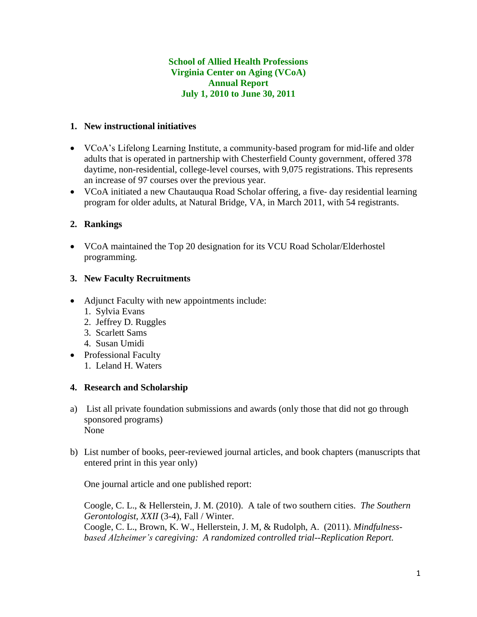# **School of Allied Health Professions Virginia Center on Aging (VCoA) Annual Report July 1, 2010 to June 30, 2011**

# **1. New instructional initiatives**

- VCoA's Lifelong Learning Institute, a community-based program for mid-life and older adults that is operated in partnership with Chesterfield County government, offered 378 daytime, non-residential, college-level courses, with 9,075 registrations. This represents an increase of 97 courses over the previous year.
- VCoA initiated a new Chautauqua Road Scholar offering, a five- day residential learning program for older adults, at Natural Bridge, VA, in March 2011, with 54 registrants.

### **2. Rankings**

 VCoA maintained the Top 20 designation for its VCU Road Scholar/Elderhostel programming.

### **3. New Faculty Recruitments**

- Adjunct Faculty with new appointments include:
	- 1. Sylvia Evans
	- 2. Jeffrey D. Ruggles
	- 3. Scarlett Sams
	- 4. Susan Umidi
- Professional Faculty 1. Leland H. Waters

#### **4. Research and Scholarship**

- a) List all private foundation submissions and awards (only those that did not go through sponsored programs) None
- b) List number of books, peer-reviewed journal articles, and book chapters (manuscripts that entered print in this year only)

One journal article and one published report:

Coogle, C. L., & Hellerstein, J. M. (2010). A tale of two southern cities. *The Southern Gerontologist, XXII* (3-4), Fall / Winter.

Coogle, C. L., Brown, K. W., Hellerstein, J. M, & Rudolph, A. (2011). *Mindfulnessbased Alzheimer's caregiving: A randomized controlled trial--Replication Report.*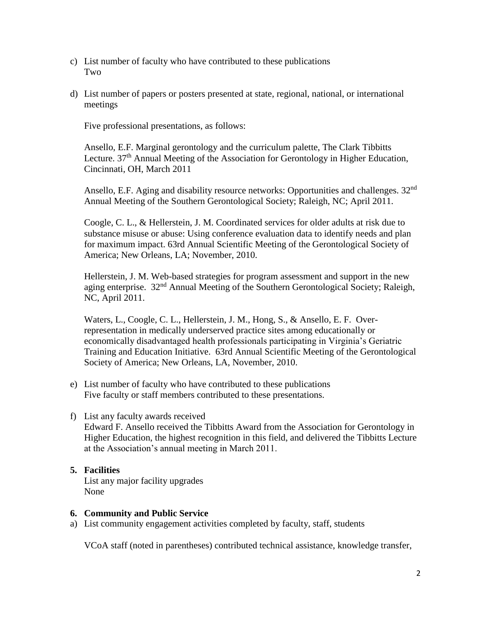- c) List number of faculty who have contributed to these publications Two
- d) List number of papers or posters presented at state, regional, national, or international meetings

Five professional presentations, as follows:

Ansello, E.F. Marginal gerontology and the curriculum palette, The Clark Tibbitts Lecture.  $37<sup>th</sup>$  Annual Meeting of the Association for Gerontology in Higher Education, Cincinnati, OH, March 2011

Ansello, E.F. Aging and disability resource networks: Opportunities and challenges. 32<sup>nd</sup> Annual Meeting of the Southern Gerontological Society; Raleigh, NC; April 2011.

Coogle, C. L., & Hellerstein, J. M. Coordinated services for older adults at risk due to substance misuse or abuse: Using conference evaluation data to identify needs and plan for maximum impact. 63rd Annual Scientific Meeting of the Gerontological Society of America; New Orleans, LA; November, 2010.

Hellerstein, J. M. Web-based strategies for program assessment and support in the new aging enterprise. 32<sup>nd</sup> Annual Meeting of the Southern Gerontological Society; Raleigh, NC, April 2011.

Waters, L., Coogle, C. L., Hellerstein, J. M., Hong, S., & Ansello, E. F. Overrepresentation in medically underserved practice sites among educationally or economically disadvantaged health professionals participating in Virginia's Geriatric Training and Education Initiative. 63rd Annual Scientific Meeting of the Gerontological Society of America; New Orleans, LA, November, 2010.

- e) List number of faculty who have contributed to these publications Five faculty or staff members contributed to these presentations.
- f) List any faculty awards received

Edward F. Ansello received the Tibbitts Award from the Association for Gerontology in Higher Education, the highest recognition in this field, and delivered the Tibbitts Lecture at the Association's annual meeting in March 2011.

# **5. Facilities** List any major facility upgrades None

# **6. Community and Public Service**

a) List community engagement activities completed by faculty, staff, students

VCoA staff (noted in parentheses) contributed technical assistance, knowledge transfer,